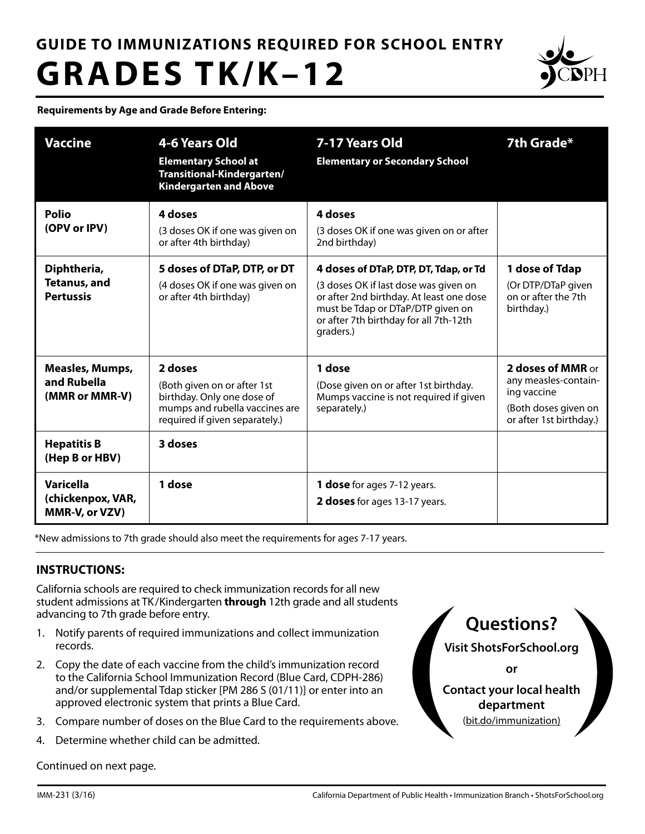# **GUIDE TO IMMUNIZATIONS REQUIRED FOR SCHOOL ENTRY GRADES TK/K–12**



**Requirements by Age and Grade Before Entering:**

| <b>Vaccine</b>                                                                                  | 4-6 Years Old<br><b>Elementary School at</b><br>Transitional-Kindergarten/<br><b>Kindergarten and Above</b>                                         | 7-17 Years Old<br><b>Elementary or Secondary School</b>                                                                                                                                                                | 7th Grade*                                                                                                  |
|-------------------------------------------------------------------------------------------------|-----------------------------------------------------------------------------------------------------------------------------------------------------|------------------------------------------------------------------------------------------------------------------------------------------------------------------------------------------------------------------------|-------------------------------------------------------------------------------------------------------------|
| <b>Polio</b><br>(OPV or IPV)                                                                    | 4 doses<br>(3 doses OK if one was given on<br>or after 4th birthday)                                                                                | 4 doses<br>(3 doses OK if one was given on or after<br>2nd birthday)                                                                                                                                                   |                                                                                                             |
| Diphtheria,<br><b>Tetanus, and</b><br><b>Pertussis</b>                                          | 5 doses of DTaP, DTP, or DT<br>(4 doses OK if one was given on<br>or after 4th birthday)                                                            | 4 doses of DTaP, DTP, DT, Tdap, or Td<br>(3 doses OK if last dose was given on<br>or after 2nd birthday. At least one dose<br>must be Tdap or DTaP/DTP given on<br>or after 7th birthday for all 7th-12th<br>graders.) | 1 dose of Tdap<br>(Or DTP/DTaP given<br>on or after the 7th<br>birthday.)                                   |
| <b>Measles, Mumps,</b><br>and Rubella<br>(MMR or MMR-V)                                         | 2 doses<br>(Both given on or after 1st<br>birthday. Only one dose of<br>mumps and rubella vaccines are<br>required if given separately.)<br>3 doses | 1 dose<br>(Dose given on or after 1st birthday.<br>Mumps vaccine is not required if given<br>separately.)                                                                                                              | 2 doses of MMR or<br>any measles-contain-<br>ing vaccine<br>(Both doses given on<br>or after 1st birthday.) |
| <b>Hepatitis B</b><br>(Hep B or HBV)<br><b>Varicella</b><br>(chickenpox, VAR,<br>MMR-V, or VZV) | 1 dose                                                                                                                                              | 1 dose for ages 7-12 years.<br>2 doses for ages 13-17 years.                                                                                                                                                           |                                                                                                             |

\*New admissions to 7th grade should also meet the requirements for ages 7-17 years.

## **INSTRUCTIONS:**

California schools are required to check immunization records for all new student admissions at TK /Kindergarten **through** 12th grade and all students advancing to 7th grade before entry.

- 1. Notify parents of required immunizations and collect immunization records.
- 2. Copy the date of each vaccine from the child's immunization record to the California School Immunization Record (Blue Card, CDPH-286) and/or supplemental Tdap sticker [PM 286 S (01/11)] or enter into an approved electronic system that prints a Blue Card.
- 3. Compare number of doses on the Blue Card to the requirements above.
- 4. Determine whether child can be admitted.

Continued on next page.